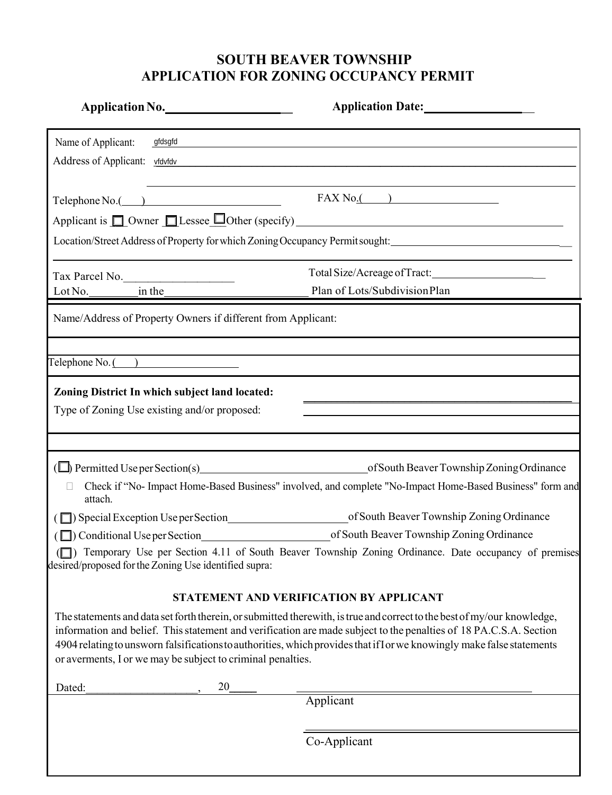## **SOUTH BEAVER TOWNSHIP APPLICATION FOR ZONING OCCUPANCY PERMIT**

| Application No.                                                                                                                                                                                                                                                                                                                                             | Application Date:                                                                                                                                                                                                                                                                                                                                                      |  |
|-------------------------------------------------------------------------------------------------------------------------------------------------------------------------------------------------------------------------------------------------------------------------------------------------------------------------------------------------------------|------------------------------------------------------------------------------------------------------------------------------------------------------------------------------------------------------------------------------------------------------------------------------------------------------------------------------------------------------------------------|--|
| Name of Applicant:<br>gfdsgfd                                                                                                                                                                                                                                                                                                                               | <u> 1989 - Johann Stoff, amerikansk politiker (d. 1989)</u>                                                                                                                                                                                                                                                                                                            |  |
| Address of Applicant: vfdvfdv                                                                                                                                                                                                                                                                                                                               |                                                                                                                                                                                                                                                                                                                                                                        |  |
|                                                                                                                                                                                                                                                                                                                                                             |                                                                                                                                                                                                                                                                                                                                                                        |  |
|                                                                                                                                                                                                                                                                                                                                                             |                                                                                                                                                                                                                                                                                                                                                                        |  |
|                                                                                                                                                                                                                                                                                                                                                             |                                                                                                                                                                                                                                                                                                                                                                        |  |
| Location/Street Address of Property for which Zoning Occupancy Permit sought:                                                                                                                                                                                                                                                                               |                                                                                                                                                                                                                                                                                                                                                                        |  |
|                                                                                                                                                                                                                                                                                                                                                             | Total Size/Acreage of Tract:______________________                                                                                                                                                                                                                                                                                                                     |  |
|                                                                                                                                                                                                                                                                                                                                                             | Plan of Lots/SubdivisionPlan                                                                                                                                                                                                                                                                                                                                           |  |
| Name/Address of Property Owners if different from Applicant:                                                                                                                                                                                                                                                                                                |                                                                                                                                                                                                                                                                                                                                                                        |  |
| $\text{Telephone No.}$ $\begin{picture}(1,1) \put(0,0){\line(1,0){155}} \put(0,0){\line(1,0){155}} \put(0,0){\line(1,0){155}} \put(0,0){\line(1,0){155}} \put(0,0){\line(1,0){155}} \put(0,0){\line(1,0){155}} \put(0,0){\line(1,0){155}} \put(0,0){\line(1,0){155}} \put(0,0){\line(1,0){155}} \put(0,0){\line(1,0){155}} \put(0,0){\line(1,0){155}} \put$ |                                                                                                                                                                                                                                                                                                                                                                        |  |
| Zoning District In which subject land located:                                                                                                                                                                                                                                                                                                              |                                                                                                                                                                                                                                                                                                                                                                        |  |
| Type of Zoning Use existing and/or proposed:                                                                                                                                                                                                                                                                                                                |                                                                                                                                                                                                                                                                                                                                                                        |  |
|                                                                                                                                                                                                                                                                                                                                                             |                                                                                                                                                                                                                                                                                                                                                                        |  |
|                                                                                                                                                                                                                                                                                                                                                             |                                                                                                                                                                                                                                                                                                                                                                        |  |
|                                                                                                                                                                                                                                                                                                                                                             |                                                                                                                                                                                                                                                                                                                                                                        |  |
| attach.                                                                                                                                                                                                                                                                                                                                                     | Check if "No- Impact Home-Based Business" involved, and complete "No-Impact Home-Based Business" form and                                                                                                                                                                                                                                                              |  |
|                                                                                                                                                                                                                                                                                                                                                             |                                                                                                                                                                                                                                                                                                                                                                        |  |
|                                                                                                                                                                                                                                                                                                                                                             | ( $\Box$ ) Conditional Use per Section of South Beaver Township Zoning Ordinance                                                                                                                                                                                                                                                                                       |  |
| (O) Temporary Use per Section 4.11 of South Beaver Township Zoning Ordinance. Date occupancy of premises<br>desired/proposed for the Zoning Use identified supra:                                                                                                                                                                                           |                                                                                                                                                                                                                                                                                                                                                                        |  |
| STATEMENT AND VERIFICATION BY APPLICANT                                                                                                                                                                                                                                                                                                                     |                                                                                                                                                                                                                                                                                                                                                                        |  |
| or averments, I or we may be subject to criminal penalties.                                                                                                                                                                                                                                                                                                 | The statements and data set forth therein, or submitted therewith, is true and correct to the best of my/our knowledge,<br>information and belief. This statement and verification are made subject to the penalties of 18 PA.C.S.A. Section<br>4904 relating to unsworn falsifications to authorities, which provides that if I or we knowingly make false statements |  |
| 20<br>Dated:                                                                                                                                                                                                                                                                                                                                                |                                                                                                                                                                                                                                                                                                                                                                        |  |
|                                                                                                                                                                                                                                                                                                                                                             | Applicant                                                                                                                                                                                                                                                                                                                                                              |  |
|                                                                                                                                                                                                                                                                                                                                                             | Co-Applicant                                                                                                                                                                                                                                                                                                                                                           |  |
|                                                                                                                                                                                                                                                                                                                                                             |                                                                                                                                                                                                                                                                                                                                                                        |  |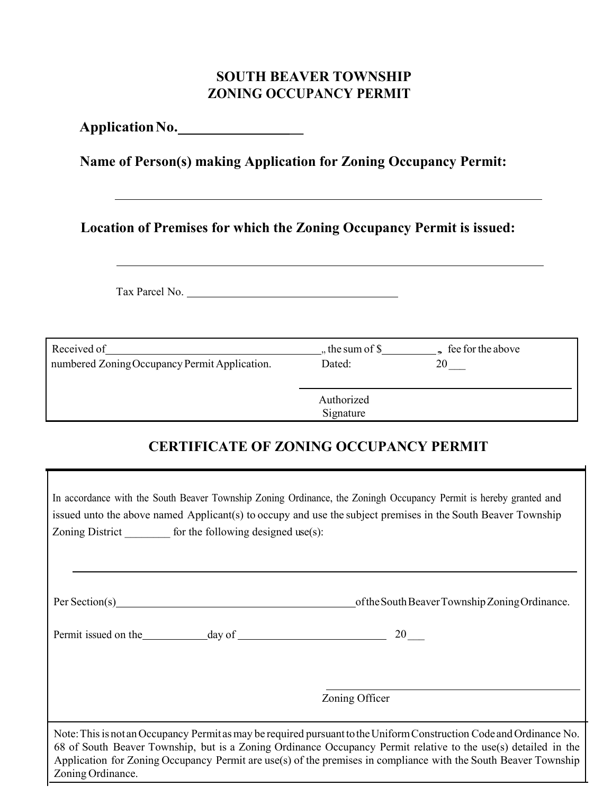### **SOUTH BEAVER TOWNSHIP ZONING OCCUPANCY PERMIT**

**ApplicationNo. \_**

**Name of Person(s) making Application for Zoning Occupancy Permit:**

**Location of Premises for which the Zoning Occupancy Permit is issued:**

Tax Parcel No.

 $\mathbf{I}$ 

| Received of                                   | ,, the sum of $\$$      | $\epsilon$ fee for the above |
|-----------------------------------------------|-------------------------|------------------------------|
| numbered Zoning Occupancy Permit Application. | Dated:                  | 20                           |
|                                               | Authorized<br>Signature |                              |

# **CERTIFICATE OF ZONING OCCUPANCY PERMIT**

| In accordance with the South Beaver Township Zoning Ordinance, the Zoningh Occupancy Permit is hereby granted and<br>issued unto the above named Applicant(s) to occupy and use the subject premises in the South Beaver Township<br>Zoning District __________ for the following designed use(s):                                                                             |                                                |  |
|--------------------------------------------------------------------------------------------------------------------------------------------------------------------------------------------------------------------------------------------------------------------------------------------------------------------------------------------------------------------------------|------------------------------------------------|--|
|                                                                                                                                                                                                                                                                                                                                                                                |                                                |  |
|                                                                                                                                                                                                                                                                                                                                                                                | of the South Beaver Township Zoning Ordinance. |  |
|                                                                                                                                                                                                                                                                                                                                                                                |                                                |  |
|                                                                                                                                                                                                                                                                                                                                                                                |                                                |  |
|                                                                                                                                                                                                                                                                                                                                                                                | Zoning Officer                                 |  |
| Note: This is not an Occupancy Permit as may be required pursuant to the Uniform Construction Code and Ordinance No.<br>68 of South Beaver Township, but is a Zoning Ordinance Occupancy Permit relative to the use(s) detailed in the<br>Application for Zoning Occupancy Permit are use(s) of the premises in compliance with the South Beaver Township<br>Zoning Ordinance. |                                                |  |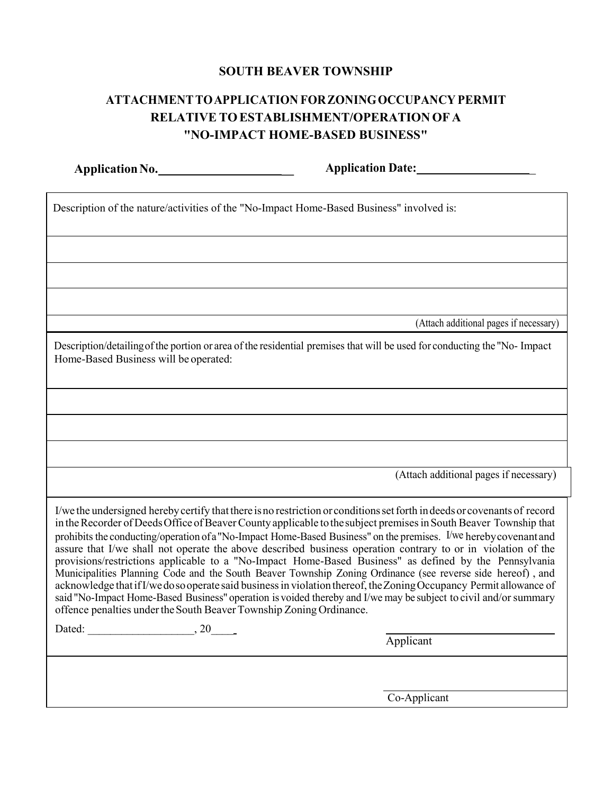#### **SOUTH BEAVER TOWNSHIP**

## **ATTACHMENTTOAPPLICATION FORZONINGOCCUPANCY PERMIT RELATIVE TOESTABLISHMENT/OPERATIONOF A "NO-IMPACT HOME-BASED BUSINESS"**

**ApplicationNo. \_ Application Date:** \_

| Description of the nature/activities of the "No-Impact Home-Based Business" involved is:                                                                                                                                                                                                                                                                                                                                                                                                                                                                                                                                                                                                                                                                                                                                                                                                                                                                                                                                     |                                        |  |
|------------------------------------------------------------------------------------------------------------------------------------------------------------------------------------------------------------------------------------------------------------------------------------------------------------------------------------------------------------------------------------------------------------------------------------------------------------------------------------------------------------------------------------------------------------------------------------------------------------------------------------------------------------------------------------------------------------------------------------------------------------------------------------------------------------------------------------------------------------------------------------------------------------------------------------------------------------------------------------------------------------------------------|----------------------------------------|--|
|                                                                                                                                                                                                                                                                                                                                                                                                                                                                                                                                                                                                                                                                                                                                                                                                                                                                                                                                                                                                                              |                                        |  |
|                                                                                                                                                                                                                                                                                                                                                                                                                                                                                                                                                                                                                                                                                                                                                                                                                                                                                                                                                                                                                              |                                        |  |
|                                                                                                                                                                                                                                                                                                                                                                                                                                                                                                                                                                                                                                                                                                                                                                                                                                                                                                                                                                                                                              |                                        |  |
|                                                                                                                                                                                                                                                                                                                                                                                                                                                                                                                                                                                                                                                                                                                                                                                                                                                                                                                                                                                                                              | (Attach additional pages if necessary) |  |
| Description/detailing of the portion or area of the residential premises that will be used for conducting the "No-Impact"<br>Home-Based Business will be operated:                                                                                                                                                                                                                                                                                                                                                                                                                                                                                                                                                                                                                                                                                                                                                                                                                                                           |                                        |  |
|                                                                                                                                                                                                                                                                                                                                                                                                                                                                                                                                                                                                                                                                                                                                                                                                                                                                                                                                                                                                                              |                                        |  |
|                                                                                                                                                                                                                                                                                                                                                                                                                                                                                                                                                                                                                                                                                                                                                                                                                                                                                                                                                                                                                              |                                        |  |
|                                                                                                                                                                                                                                                                                                                                                                                                                                                                                                                                                                                                                                                                                                                                                                                                                                                                                                                                                                                                                              |                                        |  |
|                                                                                                                                                                                                                                                                                                                                                                                                                                                                                                                                                                                                                                                                                                                                                                                                                                                                                                                                                                                                                              | (Attach additional pages if necessary) |  |
| I/we the undersigned hereby certify that there is no restriction or conditions set forth in deeds or covenants of record<br>in the Recorder of Deeds Office of Beaver County applicable to the subject premises in South Beaver Township that<br>prohibits the conducting/operation of a "No-Impact Home-Based Business" on the premises. I/we hereby covenant and<br>assure that I/we shall not operate the above described business operation contrary to or in violation of the<br>provisions/restrictions applicable to a "No-Impact Home-Based Business" as defined by the Pennsylvania<br>Municipalities Planning Code and the South Beaver Township Zoning Ordinance (see reverse side hereof), and<br>acknowledge that if I/we do so operate said business in violation thereof, the Zoning Occupancy Permit allowance of<br>said "No-Impact Home-Based Business" operation is voided thereby and I/we may be subject to civil and/or summary<br>offence penalties under the South Beaver Township Zoning Ordinance. |                                        |  |
|                                                                                                                                                                                                                                                                                                                                                                                                                                                                                                                                                                                                                                                                                                                                                                                                                                                                                                                                                                                                                              | Applicant                              |  |
|                                                                                                                                                                                                                                                                                                                                                                                                                                                                                                                                                                                                                                                                                                                                                                                                                                                                                                                                                                                                                              |                                        |  |
|                                                                                                                                                                                                                                                                                                                                                                                                                                                                                                                                                                                                                                                                                                                                                                                                                                                                                                                                                                                                                              | Co-Applicant                           |  |